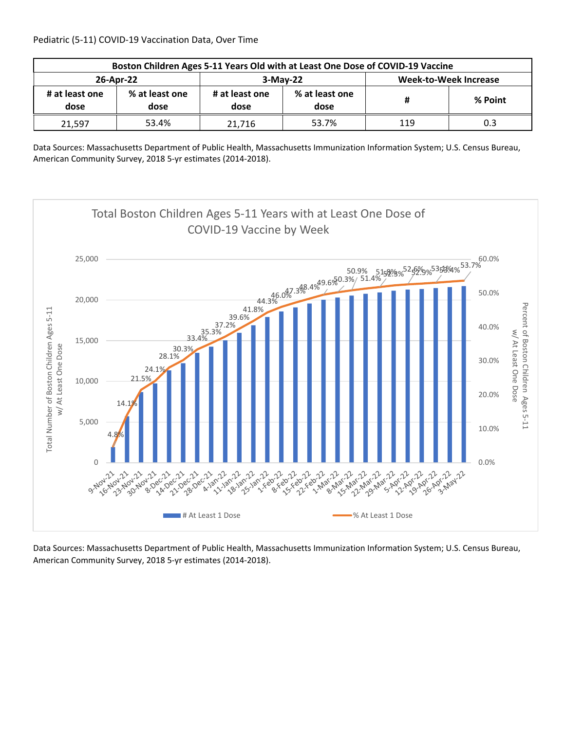| Boston Children Ages 5-11 Years Old with at Least One Dose of COVID-19 Vaccine |                                          |        |                        |                       |         |  |  |
|--------------------------------------------------------------------------------|------------------------------------------|--------|------------------------|-----------------------|---------|--|--|
| 26-Apr-22                                                                      |                                          |        | $3-May-22$             | Week-to-Week Increase |         |  |  |
| # at least one<br>dose                                                         | % at least one<br># at least one<br>dose |        | % at least one<br>dose | Ħ                     | % Point |  |  |
| 21,597                                                                         | 53.4%                                    | 21.716 | 53.7%                  | 119                   | 0.3     |  |  |

Data Sources: Massachusetts Department of Public Health, Massachusetts Immunization Information System; U.S. Census Bureau, American Community Survey, 2018 5‐yr estimates (2014‐2018).

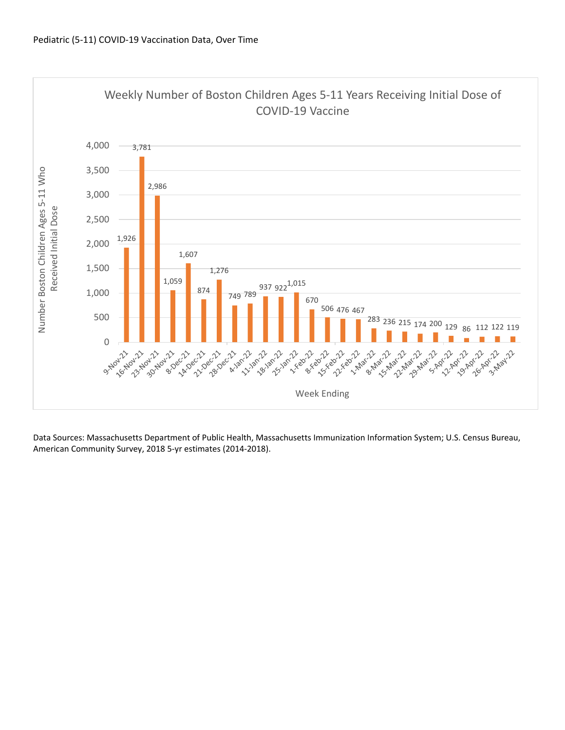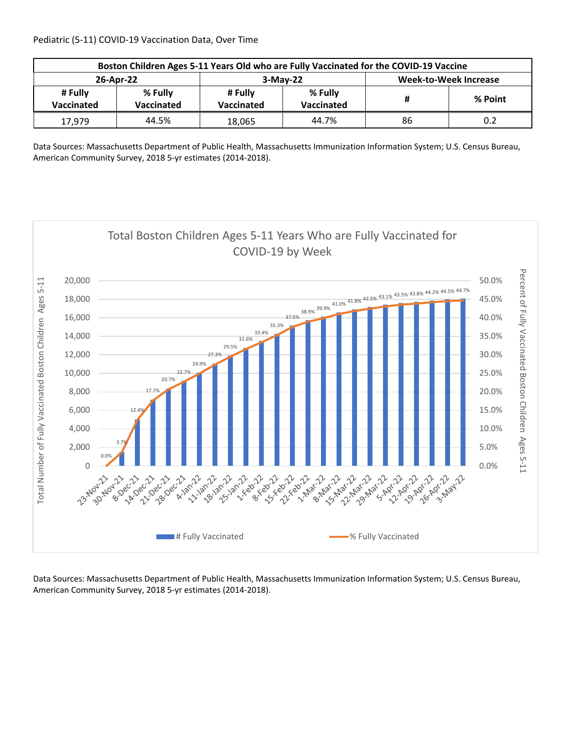Pediatric (5‐11) COVID‐19 Vaccination Data, Over Time

| Boston Children Ages 5-11 Years Old who are Fully Vaccinated for the COVID-19 Vaccine |                       |                       |                              |                              |         |  |  |
|---------------------------------------------------------------------------------------|-----------------------|-----------------------|------------------------------|------------------------------|---------|--|--|
| 26-Apr-22                                                                             |                       |                       | $3-May-22$                   | <b>Week-to-Week Increase</b> |         |  |  |
| # Fully<br>Vaccinated                                                                 | % Fully<br>Vaccinated | # Fully<br>Vaccinated | % Fully<br><b>Vaccinated</b> | Ħ                            | % Point |  |  |
| 17,979                                                                                | 44.5%                 | 18,065                | 44.7%                        | 86                           | 0.2     |  |  |

Data Sources: Massachusetts Department of Public Health, Massachusetts Immunization Information System; U.S. Census Bureau, American Community Survey, 2018 5‐yr estimates (2014‐2018).

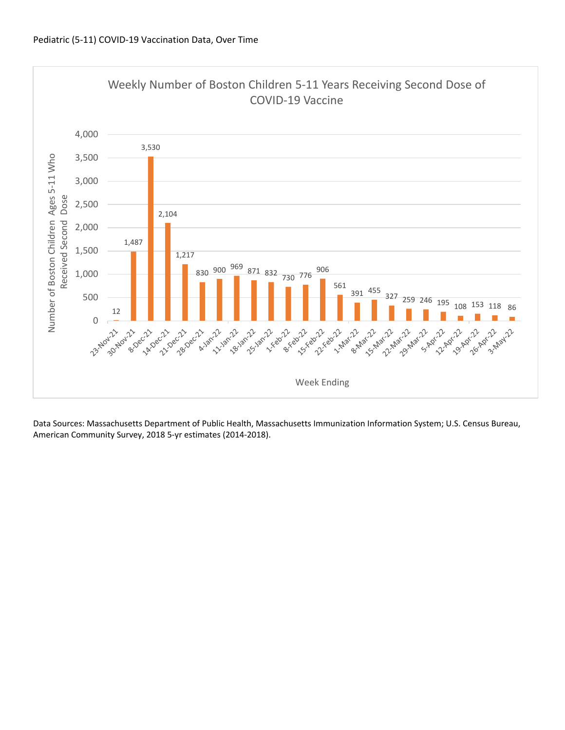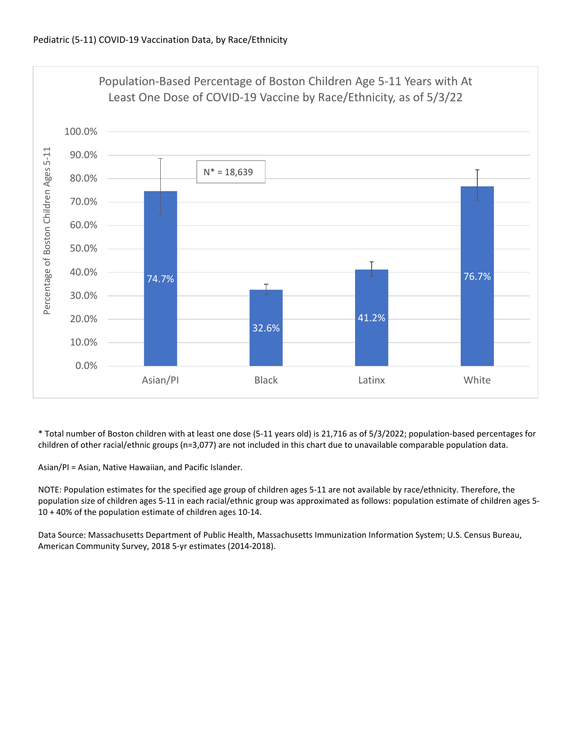

\* Total number of Boston children with at least one dose (5‐11 years old) is 21,716 as of 5/3/2022; population‐based percentages for children of other racial/ethnic groups (n=3,077) are not included in this chart due to unavailable comparable population data.

Asian/PI = Asian, Native Hawaiian, and Pacific Islander.

NOTE: Population estimates for the specified age group of children ages 5‐11 are not available by race/ethnicity. Therefore, the population size of children ages 5‐11 in each racial/ethnic group was approximated as follows: population estimate of children ages 5‐ 10 + 40% of the population estimate of children ages 10‐14.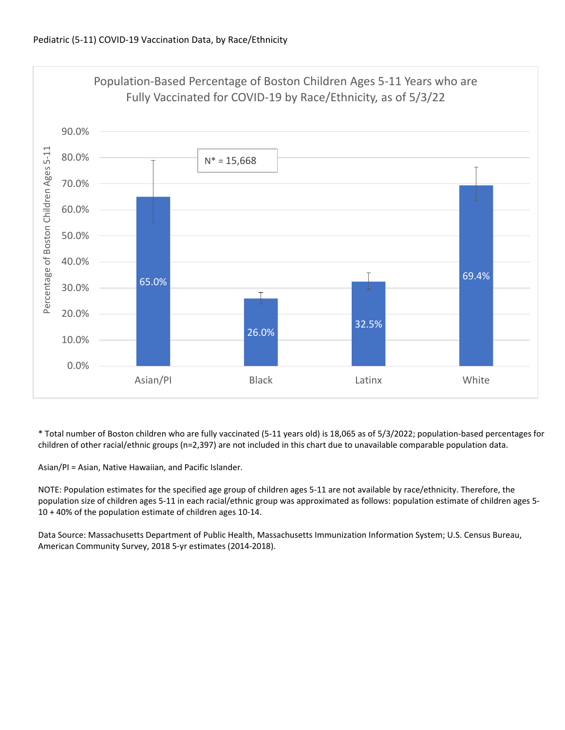

\* Total number of Boston children who are fully vaccinated (5‐11 years old) is 18,065 as of 5/3/2022; population‐based percentages for children of other racial/ethnic groups (n=2,397) are not included in this chart due to unavailable comparable population data.

Asian/PI = Asian, Native Hawaiian, and Pacific Islander.

NOTE: Population estimates for the specified age group of children ages 5‐11 are not available by race/ethnicity. Therefore, the population size of children ages 5‐11 in each racial/ethnic group was approximated as follows: population estimate of children ages 5‐ 10 + 40% of the population estimate of children ages 10‐14.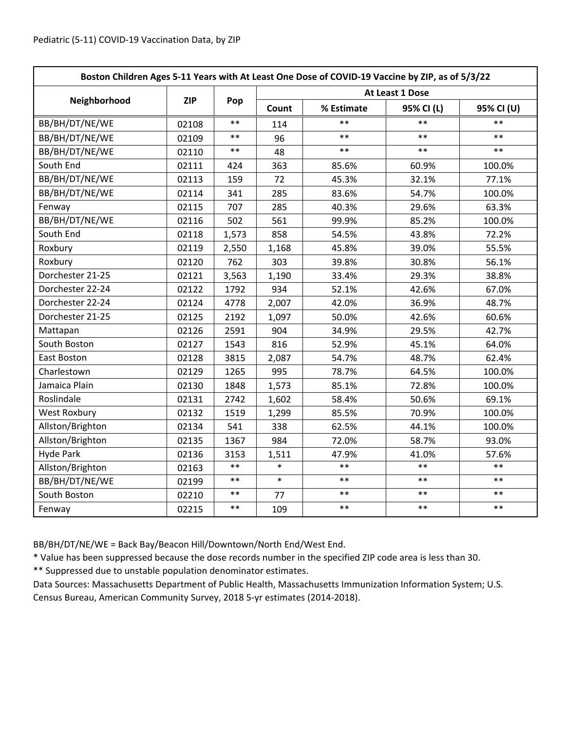| Boston Children Ages 5-11 Years with At Least One Dose of COVID-19 Vaccine by ZIP, as of 5/3/22 |            |            |                 |            |            |            |  |
|-------------------------------------------------------------------------------------------------|------------|------------|-----------------|------------|------------|------------|--|
|                                                                                                 | <b>ZIP</b> | Pop        | At Least 1 Dose |            |            |            |  |
| Neighborhood                                                                                    |            |            | Count           | % Estimate | 95% CI (L) | 95% CI (U) |  |
| BB/BH/DT/NE/WE                                                                                  | 02108      | $\ast\ast$ | 114             | $\ast\ast$ | $**$       | $\ast\ast$ |  |
| BB/BH/DT/NE/WE                                                                                  | 02109      | $\ast\ast$ | 96              | $**$       | $**$       | $***$      |  |
| BB/BH/DT/NE/WE                                                                                  | 02110      | $\ast\ast$ | 48              | $**$       | $***$      | $***$      |  |
| South End                                                                                       | 02111      | 424        | 363             | 85.6%      | 60.9%      | 100.0%     |  |
| BB/BH/DT/NE/WE                                                                                  | 02113      | 159        | 72              | 45.3%      | 32.1%      | 77.1%      |  |
| BB/BH/DT/NE/WE                                                                                  | 02114      | 341        | 285             | 83.6%      | 54.7%      | 100.0%     |  |
| Fenway                                                                                          | 02115      | 707        | 285             | 40.3%      | 29.6%      | 63.3%      |  |
| BB/BH/DT/NE/WE                                                                                  | 02116      | 502        | 561             | 99.9%      | 85.2%      | 100.0%     |  |
| South End                                                                                       | 02118      | 1,573      | 858             | 54.5%      | 43.8%      | 72.2%      |  |
| Roxbury                                                                                         | 02119      | 2,550      | 1,168           | 45.8%      | 39.0%      | 55.5%      |  |
| Roxbury                                                                                         | 02120      | 762        | 303             | 39.8%      | 30.8%      | 56.1%      |  |
| Dorchester 21-25                                                                                | 02121      | 3,563      | 1,190           | 33.4%      | 29.3%      | 38.8%      |  |
| Dorchester 22-24                                                                                | 02122      | 1792       | 934             | 52.1%      | 42.6%      | 67.0%      |  |
| Dorchester 22-24                                                                                | 02124      | 4778       | 2,007           | 42.0%      | 36.9%      | 48.7%      |  |
| Dorchester 21-25                                                                                | 02125      | 2192       | 1,097           | 50.0%      | 42.6%      | 60.6%      |  |
| Mattapan                                                                                        | 02126      | 2591       | 904             | 34.9%      | 29.5%      | 42.7%      |  |
| South Boston                                                                                    | 02127      | 1543       | 816             | 52.9%      | 45.1%      | 64.0%      |  |
| East Boston                                                                                     | 02128      | 3815       | 2,087           | 54.7%      | 48.7%      | 62.4%      |  |
| Charlestown                                                                                     | 02129      | 1265       | 995             | 78.7%      | 64.5%      | 100.0%     |  |
| Jamaica Plain                                                                                   | 02130      | 1848       | 1,573           | 85.1%      | 72.8%      | 100.0%     |  |
| Roslindale                                                                                      | 02131      | 2742       | 1,602           | 58.4%      | 50.6%      | 69.1%      |  |
| <b>West Roxbury</b>                                                                             | 02132      | 1519       | 1,299           | 85.5%      | 70.9%      | 100.0%     |  |
| Allston/Brighton                                                                                | 02134      | 541        | 338             | 62.5%      | 44.1%      | 100.0%     |  |
| Allston/Brighton                                                                                | 02135      | 1367       | 984             | 72.0%      | 58.7%      | 93.0%      |  |
| <b>Hyde Park</b>                                                                                | 02136      | 3153       | 1,511           | 47.9%      | 41.0%      | 57.6%      |  |
| Allston/Brighton                                                                                | 02163      | $***$      | $\ast$          | $**$       | $**$       | $***$      |  |
| BB/BH/DT/NE/WE                                                                                  | 02199      | $***$      | $\ast$          | $**$       | $***$      | $***$      |  |
| South Boston                                                                                    | 02210      | $\ast\ast$ | 77              | $***$      | $***$      | $***$      |  |
| Fenway                                                                                          | 02215      | $\ast\ast$ | 109             | $***$      | $***$      | $***$      |  |

BB/BH/DT/NE/WE = Back Bay/Beacon Hill/Downtown/North End/West End.

\* Value has been suppressed because the dose records number in the specified ZIP code area is less than 30.

\*\* Suppressed due to unstable population denominator estimates.